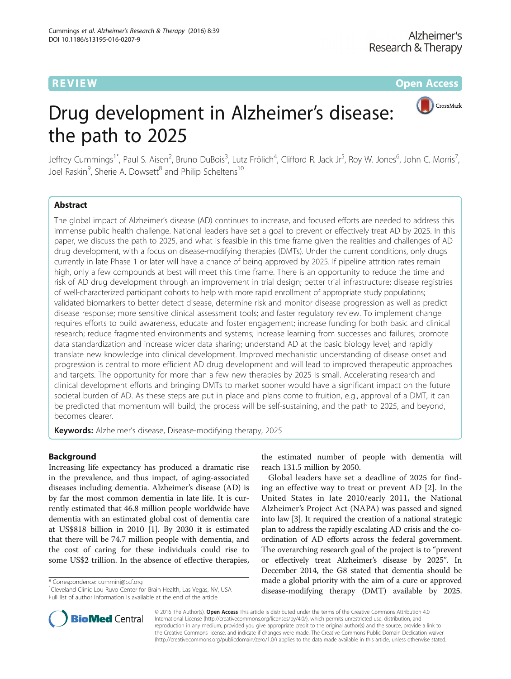**REVIEW CONTROL** CONTROL CONTROL CONTROL CONTROL CONTROL CONTROL CONTROL CONTROL CONTROL CONTROL CONTROL CONTROL CONTROL CONTROL CONTROL CONTROL CONTROL CONTROL CONTROL CONTROL CONTROL CONTROL CONTROL CONTROL CONTROL CONTR



# Drug development in Alzheimer's disease: the path to 2025

Jeffrey Cummings<sup>1\*</sup>, Paul S. Aisen<sup>2</sup>, Bruno DuBois<sup>3</sup>, Lutz Frölich<sup>4</sup>, Clifford R. Jack Jr<sup>5</sup>, Roy W. Jones<sup>6</sup>, John C. Morris<sup>7</sup> , Joel Raskin<sup>9</sup>, Sherie A. Dowsett<sup>8</sup> and Philip Scheltens<sup>10</sup>

# Abstract

The global impact of Alzheimer's disease (AD) continues to increase, and focused efforts are needed to address this immense public health challenge. National leaders have set a goal to prevent or effectively treat AD by 2025. In this paper, we discuss the path to 2025, and what is feasible in this time frame given the realities and challenges of AD drug development, with a focus on disease-modifying therapies (DMTs). Under the current conditions, only drugs currently in late Phase 1 or later will have a chance of being approved by 2025. If pipeline attrition rates remain high, only a few compounds at best will meet this time frame. There is an opportunity to reduce the time and risk of AD drug development through an improvement in trial design; better trial infrastructure; disease registries of well-characterized participant cohorts to help with more rapid enrollment of appropriate study populations; validated biomarkers to better detect disease, determine risk and monitor disease progression as well as predict disease response; more sensitive clinical assessment tools; and faster regulatory review. To implement change requires efforts to build awareness, educate and foster engagement; increase funding for both basic and clinical research; reduce fragmented environments and systems; increase learning from successes and failures; promote data standardization and increase wider data sharing; understand AD at the basic biology level; and rapidly translate new knowledge into clinical development. Improved mechanistic understanding of disease onset and progression is central to more efficient AD drug development and will lead to improved therapeutic approaches and targets. The opportunity for more than a few new therapies by 2025 is small. Accelerating research and clinical development efforts and bringing DMTs to market sooner would have a significant impact on the future societal burden of AD. As these steps are put in place and plans come to fruition, e.g., approval of a DMT, it can be predicted that momentum will build, the process will be self-sustaining, and the path to 2025, and beyond, becomes clearer.

Keywords: Alzheimer's disease, Disease-modifying therapy, 2025

# Background

Increasing life expectancy has produced a dramatic rise in the prevalence, and thus impact, of aging-associated diseases including dementia. Alzheimer's disease (AD) is by far the most common dementia in late life. It is currently estimated that 46.8 million people worldwide have dementia with an estimated global cost of dementia care at US\$818 billion in 2010 [[1\]](#page-10-0). By 2030 it is estimated that there will be 74.7 million people with dementia, and the cost of caring for these individuals could rise to some US\$2 trillion. In the absence of effective therapies,

\* Correspondence: [cumminj@ccf.org](mailto:cumminj@ccf.org) <sup>1</sup>

the estimated number of people with dementia will reach 131.5 million by 2050.

Global leaders have set a deadline of 2025 for finding an effective way to treat or prevent AD [[2\]](#page-10-0). In the United States in late 2010/early 2011, the National Alzheimer's Project Act (NAPA) was passed and signed into law [\[3\]](#page-10-0). It required the creation of a national strategic plan to address the rapidly escalating AD crisis and the coordination of AD efforts across the federal government. The overarching research goal of the project is to "prevent or effectively treat Alzheimer's disease by 2025". In December 2014, the G8 stated that dementia should be made a global priority with the aim of a cure or approved disease-modifying therapy (DMT) available by 2025.



© 2016 The Author(s). Open Access This article is distributed under the terms of the Creative Commons Attribution 4.0 International License [\(http://creativecommons.org/licenses/by/4.0/](http://creativecommons.org/licenses/by/4.0/)), which permits unrestricted use, distribution, and reproduction in any medium, provided you give appropriate credit to the original author(s) and the source, provide a link to the Creative Commons license, and indicate if changes were made. The Creative Commons Public Domain Dedication waiver [\(http://creativecommons.org/publicdomain/zero/1.0/](http://creativecommons.org/publicdomain/zero/1.0/)) applies to the data made available in this article, unless otherwise stated.

<sup>&</sup>lt;sup>1</sup> Cleveland Clinic Lou Ruvo Center for Brain Health, Las Vegas, NV, USA Full list of author information is available at the end of the article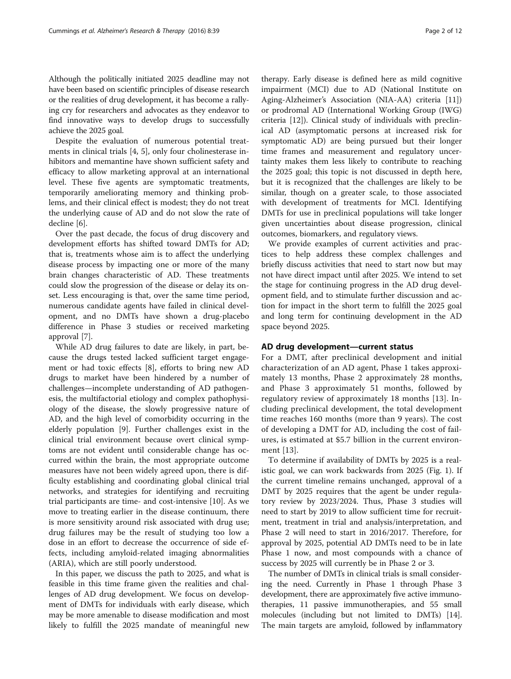Although the politically initiated 2025 deadline may not have been based on scientific principles of disease research or the realities of drug development, it has become a rallying cry for researchers and advocates as they endeavor to find innovative ways to develop drugs to successfully achieve the 2025 goal.

Despite the evaluation of numerous potential treatments in clinical trials [\[4](#page-10-0), [5](#page-10-0)], only four cholinesterase inhibitors and memantine have shown sufficient safety and efficacy to allow marketing approval at an international level. These five agents are symptomatic treatments, temporarily ameliorating memory and thinking problems, and their clinical effect is modest; they do not treat the underlying cause of AD and do not slow the rate of decline [[6\]](#page-10-0).

Over the past decade, the focus of drug discovery and development efforts has shifted toward DMTs for AD; that is, treatments whose aim is to affect the underlying disease process by impacting one or more of the many brain changes characteristic of AD. These treatments could slow the progression of the disease or delay its onset. Less encouraging is that, over the same time period, numerous candidate agents have failed in clinical development, and no DMTs have shown a drug-placebo difference in Phase 3 studies or received marketing approval [[7\]](#page-10-0).

While AD drug failures to date are likely, in part, because the drugs tested lacked sufficient target engagement or had toxic effects [\[8](#page-10-0)], efforts to bring new AD drugs to market have been hindered by a number of challenges—incomplete understanding of AD pathogenesis, the multifactorial etiology and complex pathophysiology of the disease, the slowly progressive nature of AD, and the high level of comorbidity occurring in the elderly population [[9\]](#page-10-0). Further challenges exist in the clinical trial environment because overt clinical symptoms are not evident until considerable change has occurred within the brain, the most appropriate outcome measures have not been widely agreed upon, there is difficulty establishing and coordinating global clinical trial networks, and strategies for identifying and recruiting trial participants are time- and cost-intensive [\[10](#page-10-0)]. As we move to treating earlier in the disease continuum, there is more sensitivity around risk associated with drug use; drug failures may be the result of studying too low a dose in an effort to decrease the occurrence of side effects, including amyloid-related imaging abnormalities (ARIA), which are still poorly understood.

In this paper, we discuss the path to 2025, and what is feasible in this time frame given the realities and challenges of AD drug development. We focus on development of DMTs for individuals with early disease, which may be more amenable to disease modification and most likely to fulfill the 2025 mandate of meaningful new

therapy. Early disease is defined here as mild cognitive impairment (MCI) due to AD (National Institute on Aging-Alzheimer's Association (NIA-AA) criteria [\[11](#page-10-0)]) or prodromal AD (International Working Group (IWG) criteria [[12\]](#page-10-0)). Clinical study of individuals with preclinical AD (asymptomatic persons at increased risk for symptomatic AD) are being pursued but their longer time frames and measurement and regulatory uncertainty makes them less likely to contribute to reaching the 2025 goal; this topic is not discussed in depth here, but it is recognized that the challenges are likely to be similar, though on a greater scale, to those associated with development of treatments for MCI. Identifying DMTs for use in preclinical populations will take longer given uncertainties about disease progression, clinical outcomes, biomarkers, and regulatory views.

We provide examples of current activities and practices to help address these complex challenges and briefly discuss activities that need to start now but may not have direct impact until after 2025. We intend to set the stage for continuing progress in the AD drug development field, and to stimulate further discussion and action for impact in the short term to fulfill the 2025 goal and long term for continuing development in the AD space beyond 2025.

# AD drug development—current status

For a DMT, after preclinical development and initial characterization of an AD agent, Phase 1 takes approximately 13 months, Phase 2 approximately 28 months, and Phase 3 approximately 51 months, followed by regulatory review of approximately 18 months [\[13](#page-10-0)]. Including preclinical development, the total development time reaches 160 months (more than 9 years). The cost of developing a DMT for AD, including the cost of failures, is estimated at \$5.7 billion in the current environment [[13\]](#page-10-0).

To determine if availability of DMTs by 2025 is a realistic goal, we can work backwards from 2025 (Fig. [1\)](#page-2-0). If the current timeline remains unchanged, approval of a DMT by 2025 requires that the agent be under regulatory review by 2023/2024. Thus, Phase 3 studies will need to start by 2019 to allow sufficient time for recruitment, treatment in trial and analysis/interpretation, and Phase 2 will need to start in 2016/2017. Therefore, for approval by 2025, potential AD DMTs need to be in late Phase 1 now, and most compounds with a chance of success by 2025 will currently be in Phase 2 or 3.

The number of DMTs in clinical trials is small considering the need. Currently in Phase 1 through Phase 3 development, there are approximately five active immunotherapies, 11 passive immunotherapies, and 55 small molecules (including but not limited to DMTs) [[14](#page-10-0)]. The main targets are amyloid, followed by inflammatory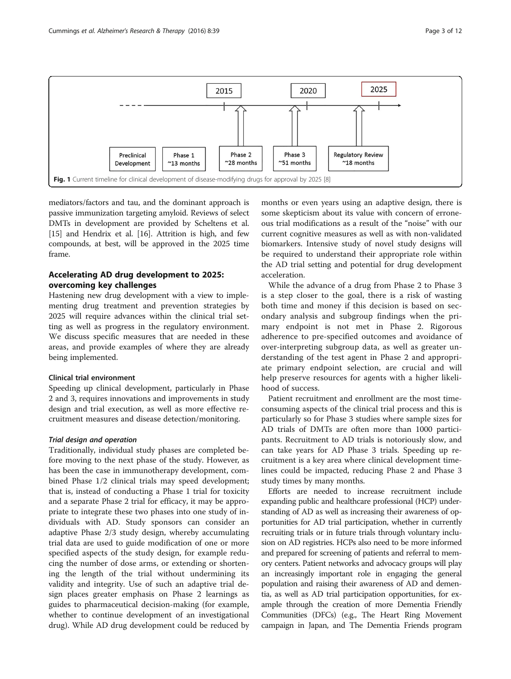<span id="page-2-0"></span>

mediators/factors and tau, and the dominant approach is passive immunization targeting amyloid. Reviews of select DMTs in development are provided by Scheltens et al. [[15](#page-10-0)] and Hendrix et al. [\[16\]](#page-10-0). Attrition is high, and few compounds, at best, will be approved in the 2025 time frame.

# Accelerating AD drug development to 2025: overcoming key challenges

Hastening new drug development with a view to implementing drug treatment and prevention strategies by 2025 will require advances within the clinical trial setting as well as progress in the regulatory environment. We discuss specific measures that are needed in these areas, and provide examples of where they are already being implemented.

## Clinical trial environment

Speeding up clinical development, particularly in Phase 2 and 3, requires innovations and improvements in study design and trial execution, as well as more effective recruitment measures and disease detection/monitoring.

# Trial design and operation

Traditionally, individual study phases are completed before moving to the next phase of the study. However, as has been the case in immunotherapy development, combined Phase 1/2 clinical trials may speed development; that is, instead of conducting a Phase 1 trial for toxicity and a separate Phase 2 trial for efficacy, it may be appropriate to integrate these two phases into one study of individuals with AD. Study sponsors can consider an adaptive Phase 2/3 study design, whereby accumulating trial data are used to guide modification of one or more specified aspects of the study design, for example reducing the number of dose arms, or extending or shortening the length of the trial without undermining its validity and integrity. Use of such an adaptive trial design places greater emphasis on Phase 2 learnings as guides to pharmaceutical decision-making (for example, whether to continue development of an investigational drug). While AD drug development could be reduced by

months or even years using an adaptive design, there is some skepticism about its value with concern of erroneous trial modifications as a result of the "noise" with our current cognitive measures as well as with non-validated biomarkers. Intensive study of novel study designs will be required to understand their appropriate role within the AD trial setting and potential for drug development acceleration.

While the advance of a drug from Phase 2 to Phase 3 is a step closer to the goal, there is a risk of wasting both time and money if this decision is based on secondary analysis and subgroup findings when the primary endpoint is not met in Phase 2. Rigorous adherence to pre-specified outcomes and avoidance of over-interpreting subgroup data, as well as greater understanding of the test agent in Phase 2 and appropriate primary endpoint selection, are crucial and will help preserve resources for agents with a higher likelihood of success.

Patient recruitment and enrollment are the most timeconsuming aspects of the clinical trial process and this is particularly so for Phase 3 studies where sample sizes for AD trials of DMTs are often more than 1000 participants. Recruitment to AD trials is notoriously slow, and can take years for AD Phase 3 trials. Speeding up recruitment is a key area where clinical development timelines could be impacted, reducing Phase 2 and Phase 3 study times by many months.

Efforts are needed to increase recruitment include expanding public and healthcare professional (HCP) understanding of AD as well as increasing their awareness of opportunities for AD trial participation, whether in currently recruiting trials or in future trials through voluntary inclusion on AD registries. HCPs also need to be more informed and prepared for screening of patients and referral to memory centers. Patient networks and advocacy groups will play an increasingly important role in engaging the general population and raising their awareness of AD and dementia, as well as AD trial participation opportunities, for example through the creation of more Dementia Friendly Communities (DFCs) (e.g., The Heart Ring Movement campaign in Japan, and The Dementia Friends program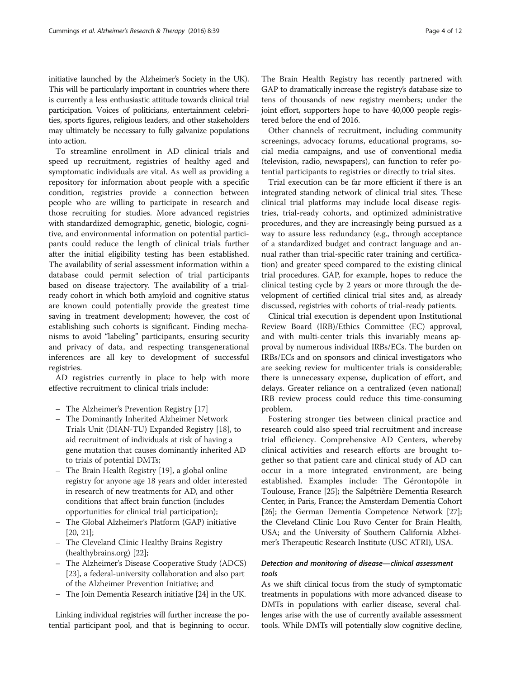initiative launched by the Alzheimer's Society in the UK). This will be particularly important in countries where there is currently a less enthusiastic attitude towards clinical trial participation. Voices of politicians, entertainment celebrities, sports figures, religious leaders, and other stakeholders may ultimately be necessary to fully galvanize populations into action.

To streamline enrollment in AD clinical trials and speed up recruitment, registries of healthy aged and symptomatic individuals are vital. As well as providing a repository for information about people with a specific condition, registries provide a connection between people who are willing to participate in research and those recruiting for studies. More advanced registries with standardized demographic, genetic, biologic, cognitive, and environmental information on potential participants could reduce the length of clinical trials further after the initial eligibility testing has been established. The availability of serial assessment information within a database could permit selection of trial participants based on disease trajectory. The availability of a trialready cohort in which both amyloid and cognitive status are known could potentially provide the greatest time saving in treatment development; however, the cost of establishing such cohorts is significant. Finding mechanisms to avoid "labeling" participants, ensuring security and privacy of data, and respecting transgenerational inferences are all key to development of successful registries.

AD registries currently in place to help with more effective recruitment to clinical trials include:

- The Alzheimer's Prevention Registry [[17\]](#page-10-0)
- The Dominantly Inherited Alzheimer Network Trials Unit (DIAN-TU) Expanded Registry [\[18\]](#page-10-0), to aid recruitment of individuals at risk of having a gene mutation that causes dominantly inherited AD to trials of potential DMTs;
- The Brain Health Registry [\[19\]](#page-10-0), a global online registry for anyone age 18 years and older interested in research of new treatments for AD, and other conditions that affect brain function (includes opportunities for clinical trial participation);
- The Global Alzheimer's Platform (GAP) initiative [[20](#page-10-0), [21](#page-10-0)];
- The Cleveland Clinic Healthy Brains Registry (healthybrains.org) [\[22\]](#page-10-0);
- The Alzheimer's Disease Cooperative Study (ADCS) [[23](#page-10-0)], a federal-university collaboration and also part of the Alzheimer Prevention Initiative; and
- The Join Dementia Research initiative [[24](#page-10-0)] in the UK.

Linking individual registries will further increase the potential participant pool, and that is beginning to occur.

The Brain Health Registry has recently partnered with GAP to dramatically increase the registry's database size to tens of thousands of new registry members; under the joint effort, supporters hope to have 40,000 people registered before the end of 2016.

Other channels of recruitment, including community screenings, advocacy forums, educational programs, social media campaigns, and use of conventional media (television, radio, newspapers), can function to refer potential participants to registries or directly to trial sites.

Trial execution can be far more efficient if there is an integrated standing network of clinical trial sites. These clinical trial platforms may include local disease registries, trial-ready cohorts, and optimized administrative procedures, and they are increasingly being pursued as a way to assure less redundancy (e.g., through acceptance of a standardized budget and contract language and annual rather than trial-specific rater training and certification) and greater speed compared to the existing clinical trial procedures. GAP, for example, hopes to reduce the clinical testing cycle by 2 years or more through the development of certified clinical trial sites and, as already discussed, registries with cohorts of trial-ready patients.

Clinical trial execution is dependent upon Institutional Review Board (IRB)/Ethics Committee (EC) approval, and with multi-center trials this invariably means approval by numerous individual IRBs/ECs. The burden on IRBs/ECs and on sponsors and clinical investigators who are seeking review for multicenter trials is considerable; there is unnecessary expense, duplication of effort, and delays. Greater reliance on a centralized (even national) IRB review process could reduce this time-consuming problem.

Fostering stronger ties between clinical practice and research could also speed trial recruitment and increase trial efficiency. Comprehensive AD Centers, whereby clinical activities and research efforts are brought together so that patient care and clinical study of AD can occur in a more integrated environment, are being established. Examples include: The Gérontopôle in Toulouse, France [[25](#page-10-0)]; the Salpêtrière Dementia Research Center, in Paris, France; the Amsterdam Dementia Cohort [[26](#page-10-0)]; the German Dementia Competence Network [[27](#page-10-0)]; the Cleveland Clinic Lou Ruvo Center for Brain Health, USA; and the University of Southern California Alzheimer's Therapeutic Research Institute (USC ATRI), USA.

# Detection and monitoring of disease—clinical assessment tools

As we shift clinical focus from the study of symptomatic treatments in populations with more advanced disease to DMTs in populations with earlier disease, several challenges arise with the use of currently available assessment tools. While DMTs will potentially slow cognitive decline,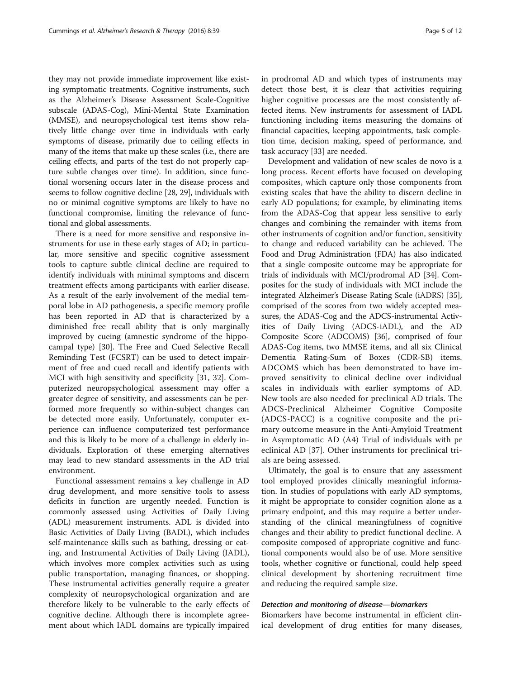they may not provide immediate improvement like existing symptomatic treatments. Cognitive instruments, such as the Alzheimer's Disease Assessment Scale-Cognitive subscale (ADAS-Cog), Mini-Mental State Examination (MMSE), and neuropsychological test items show relatively little change over time in individuals with early symptoms of disease, primarily due to ceiling effects in many of the items that make up these scales (i.e., there are ceiling effects, and parts of the test do not properly capture subtle changes over time). In addition, since functional worsening occurs later in the disease process and seems to follow cognitive decline [\[28, 29](#page-10-0)], individuals with no or minimal cognitive symptoms are likely to have no functional compromise, limiting the relevance of functional and global assessments.

There is a need for more sensitive and responsive instruments for use in these early stages of AD; in particular, more sensitive and specific cognitive assessment tools to capture subtle clinical decline are required to identify individuals with minimal symptoms and discern treatment effects among participants with earlier disease. As a result of the early involvement of the medial temporal lobe in AD pathogenesis, a specific memory profile has been reported in AD that is characterized by a diminished free recall ability that is only marginally improved by cueing (amnestic syndrome of the hippocampal type) [\[30](#page-10-0)]. The Free and Cued Selective Recall Reminding Test (FCSRT) can be used to detect impairment of free and cued recall and identify patients with MCI with high sensitivity and specificity [[31](#page-10-0), [32\]](#page-10-0). Computerized neuropsychological assessment may offer a greater degree of sensitivity, and assessments can be performed more frequently so within-subject changes can be detected more easily. Unfortunately, computer experience can influence computerized test performance and this is likely to be more of a challenge in elderly individuals. Exploration of these emerging alternatives may lead to new standard assessments in the AD trial environment.

Functional assessment remains a key challenge in AD drug development, and more sensitive tools to assess deficits in function are urgently needed. Function is commonly assessed using Activities of Daily Living (ADL) measurement instruments. ADL is divided into Basic Activities of Daily Living (BADL), which includes self-maintenance skills such as bathing, dressing or eating, and Instrumental Activities of Daily Living (IADL), which involves more complex activities such as using public transportation, managing finances, or shopping. These instrumental activities generally require a greater complexity of neuropsychological organization and are therefore likely to be vulnerable to the early effects of cognitive decline. Although there is incomplete agreement about which IADL domains are typically impaired in prodromal AD and which types of instruments may detect those best, it is clear that activities requiring higher cognitive processes are the most consistently affected items. New instruments for assessment of IADL functioning including items measuring the domains of financial capacities, keeping appointments, task completion time, decision making, speed of performance, and task accuracy [\[33](#page-10-0)] are needed.

Development and validation of new scales de novo is a long process. Recent efforts have focused on developing composites, which capture only those components from existing scales that have the ability to discern decline in early AD populations; for example, by eliminating items from the ADAS-Cog that appear less sensitive to early changes and combining the remainder with items from other instruments of cognition and/or function, sensitivity to change and reduced variability can be achieved. The Food and Drug Administration (FDA) has also indicated that a single composite outcome may be appropriate for trials of individuals with MCI/prodromal AD [[34](#page-10-0)]. Composites for the study of individuals with MCI include the integrated Alzheimer's Disease Rating Scale (iADRS) [[35](#page-10-0)], comprised of the scores from two widely accepted measures, the ADAS-Cog and the ADCS-instrumental Activities of Daily Living (ADCS-iADL), and the AD Composite Score (ADCOMS) [[36](#page-10-0)], comprised of four ADAS-Cog items, two MMSE items, and all six Clinical Dementia Rating-Sum of Boxes (CDR-SB) items. ADCOMS which has been demonstrated to have improved sensitivity to clinical decline over individual scales in individuals with earlier symptoms of AD. New tools are also needed for preclinical AD trials. The ADCS-Preclinical Alzheimer Cognitive Composite (ADCS-PACC) is a cognitive composite and the primary outcome measure in the Anti-Amyloid Treatment in Asymptomatic AD (A4) Trial of individuals with pr eclinical AD [\[37](#page-10-0)]. Other instruments for preclinical trials are being assessed.

Ultimately, the goal is to ensure that any assessment tool employed provides clinically meaningful information. In studies of populations with early AD symptoms, it might be appropriate to consider cognition alone as a primary endpoint, and this may require a better understanding of the clinical meaningfulness of cognitive changes and their ability to predict functional decline. A composite composed of appropriate cognitive and functional components would also be of use. More sensitive tools, whether cognitive or functional, could help speed clinical development by shortening recruitment time and reducing the required sample size.

# Detection and monitoring of disease—biomarkers

Biomarkers have become instrumental in efficient clinical development of drug entities for many diseases,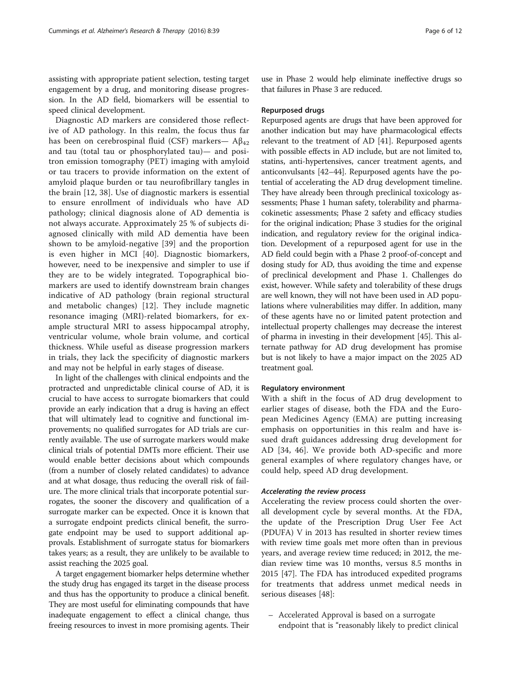assisting with appropriate patient selection, testing target engagement by a drug, and monitoring disease progression. In the AD field, biomarkers will be essential to speed clinical development.

Diagnostic AD markers are considered those reflective of AD pathology. In this realm, the focus thus far has been on cerebrospinal fluid (CSF) markers—  $Aβ_{42}$ and tau (total tau or phosphorylated tau)— and positron emission tomography (PET) imaging with amyloid or tau tracers to provide information on the extent of amyloid plaque burden or tau neurofibrillary tangles in the brain [[12, 38\]](#page-10-0). Use of diagnostic markers is essential to ensure enrollment of individuals who have AD pathology; clinical diagnosis alone of AD dementia is not always accurate. Approximately 25 % of subjects diagnosed clinically with mild AD dementia have been shown to be amyloid-negative [[39\]](#page-10-0) and the proportion is even higher in MCI [[40\]](#page-10-0). Diagnostic biomarkers, however, need to be inexpensive and simpler to use if they are to be widely integrated. Topographical biomarkers are used to identify downstream brain changes indicative of AD pathology (brain regional structural and metabolic changes) [[12](#page-10-0)]. They include magnetic resonance imaging (MRI)-related biomarkers, for example structural MRI to assess hippocampal atrophy, ventricular volume, whole brain volume, and cortical thickness. While useful as disease progression markers in trials, they lack the specificity of diagnostic markers and may not be helpful in early stages of disease.

In light of the challenges with clinical endpoints and the protracted and unpredictable clinical course of AD, it is crucial to have access to surrogate biomarkers that could provide an early indication that a drug is having an effect that will ultimately lead to cognitive and functional improvements; no qualified surrogates for AD trials are currently available. The use of surrogate markers would make clinical trials of potential DMTs more efficient. Their use would enable better decisions about which compounds (from a number of closely related candidates) to advance and at what dosage, thus reducing the overall risk of failure. The more clinical trials that incorporate potential surrogates, the sooner the discovery and qualification of a surrogate marker can be expected. Once it is known that a surrogate endpoint predicts clinical benefit, the surrogate endpoint may be used to support additional approvals. Establishment of surrogate status for biomarkers takes years; as a result, they are unlikely to be available to assist reaching the 2025 goal.

A target engagement biomarker helps determine whether the study drug has engaged its target in the disease process and thus has the opportunity to produce a clinical benefit. They are most useful for eliminating compounds that have inadequate engagement to effect a clinical change, thus freeing resources to invest in more promising agents. Their use in Phase 2 would help eliminate ineffective drugs so that failures in Phase 3 are reduced.

#### Repurposed drugs

Repurposed agents are drugs that have been approved for another indication but may have pharmacological effects relevant to the treatment of AD [\[41](#page-11-0)]. Repurposed agents with possible effects in AD include, but are not limited to, statins, anti-hypertensives, cancer treatment agents, and anticonvulsants [\[42](#page-11-0)–[44\]](#page-11-0). Repurposed agents have the potential of accelerating the AD drug development timeline. They have already been through preclinical toxicology assessments; Phase 1 human safety, tolerability and pharmacokinetic assessments; Phase 2 safety and efficacy studies for the original indication; Phase 3 studies for the original indication, and regulatory review for the original indication. Development of a repurposed agent for use in the AD field could begin with a Phase 2 proof-of-concept and dosing study for AD, thus avoiding the time and expense of preclinical development and Phase 1. Challenges do exist, however. While safety and tolerability of these drugs are well known, they will not have been used in AD populations where vulnerabilities may differ. In addition, many of these agents have no or limited patent protection and intellectual property challenges may decrease the interest of pharma in investing in their development [[45](#page-11-0)]. This alternate pathway for AD drug development has promise but is not likely to have a major impact on the 2025 AD treatment goal.

#### Regulatory environment

With a shift in the focus of AD drug development to earlier stages of disease, both the FDA and the European Medicines Agency (EMA) are putting increasing emphasis on opportunities in this realm and have issued draft guidances addressing drug development for AD [[34](#page-10-0), [46\]](#page-11-0). We provide both AD-specific and more general examples of where regulatory changes have, or could help, speed AD drug development.

# Accelerating the review process

Accelerating the review process could shorten the overall development cycle by several months. At the FDA, the update of the Prescription Drug User Fee Act (PDUFA) V in 2013 has resulted in shorter review times with review time goals met more often than in previous years, and average review time reduced; in 2012, the median review time was 10 months, versus 8.5 months in 2015 [\[47\]](#page-11-0). The FDA has introduced expedited programs for treatments that address unmet medical needs in serious diseases [[48\]](#page-11-0):

– Accelerated Approval is based on a surrogate endpoint that is "reasonably likely to predict clinical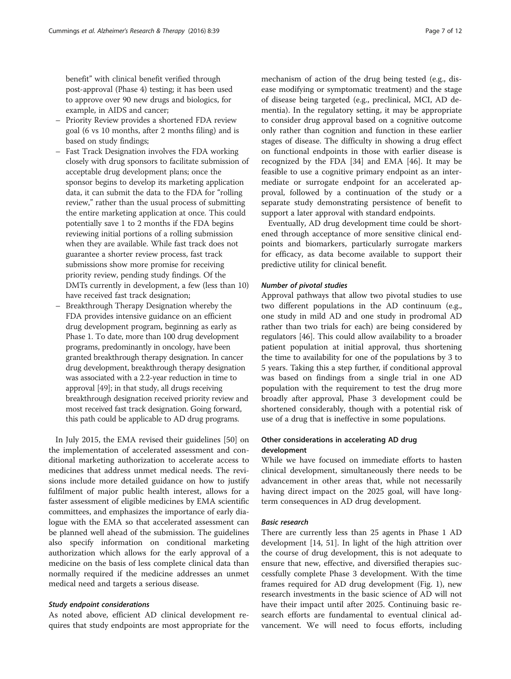benefit" with clinical benefit verified through post-approval (Phase 4) testing; it has been used to approve over 90 new drugs and biologics, for example, in AIDS and cancer;

- Priority Review provides a shortened FDA review goal (6 vs 10 months, after 2 months filing) and is based on study findings;
- Fast Track Designation involves the FDA working closely with drug sponsors to facilitate submission of acceptable drug development plans; once the sponsor begins to develop its marketing application data, it can submit the data to the FDA for "rolling review," rather than the usual process of submitting the entire marketing application at once. This could potentially save 1 to 2 months if the FDA begins reviewing initial portions of a rolling submission when they are available. While fast track does not guarantee a shorter review process, fast track submissions show more promise for receiving priority review, pending study findings. Of the DMTs currently in development, a few (less than 10) have received fast track designation;
- Breakthrough Therapy Designation whereby the FDA provides intensive guidance on an efficient drug development program, beginning as early as Phase 1. To date, more than 100 drug development programs, predominantly in oncology, have been granted breakthrough therapy designation. In cancer drug development, breakthrough therapy designation was associated with a 2.2-year reduction in time to approval [\[49\]](#page-11-0); in that study, all drugs receiving breakthrough designation received priority review and most received fast track designation. Going forward, this path could be applicable to AD drug programs.

In July 2015, the EMA revised their guidelines [[50\]](#page-11-0) on the implementation of accelerated assessment and conditional marketing authorization to accelerate access to medicines that address unmet medical needs. The revisions include more detailed guidance on how to justify fulfilment of major public health interest, allows for a faster assessment of eligible medicines by EMA scientific committees, and emphasizes the importance of early dialogue with the EMA so that accelerated assessment can be planned well ahead of the submission. The guidelines also specify information on conditional marketing authorization which allows for the early approval of a medicine on the basis of less complete clinical data than normally required if the medicine addresses an unmet medical need and targets a serious disease.

#### Study endpoint considerations

As noted above, efficient AD clinical development requires that study endpoints are most appropriate for the mechanism of action of the drug being tested (e.g., disease modifying or symptomatic treatment) and the stage of disease being targeted (e.g., preclinical, MCI, AD dementia). In the regulatory setting, it may be appropriate to consider drug approval based on a cognitive outcome only rather than cognition and function in these earlier stages of disease. The difficulty in showing a drug effect on functional endpoints in those with earlier disease is recognized by the FDA [\[34\]](#page-10-0) and EMA [\[46](#page-11-0)]. It may be feasible to use a cognitive primary endpoint as an intermediate or surrogate endpoint for an accelerated approval, followed by a continuation of the study or a separate study demonstrating persistence of benefit to support a later approval with standard endpoints.

Eventually, AD drug development time could be shortened through acceptance of more sensitive clinical endpoints and biomarkers, particularly surrogate markers for efficacy, as data become available to support their predictive utility for clinical benefit.

# Number of pivotal studies

Approval pathways that allow two pivotal studies to use two different populations in the AD continuum (e.g., one study in mild AD and one study in prodromal AD rather than two trials for each) are being considered by regulators [[46\]](#page-11-0). This could allow availability to a broader patient population at initial approval, thus shortening the time to availability for one of the populations by 3 to 5 years. Taking this a step further, if conditional approval was based on findings from a single trial in one AD population with the requirement to test the drug more broadly after approval, Phase 3 development could be shortened considerably, though with a potential risk of use of a drug that is ineffective in some populations.

# Other considerations in accelerating AD drug development

While we have focused on immediate efforts to hasten clinical development, simultaneously there needs to be advancement in other areas that, while not necessarily having direct impact on the 2025 goal, will have longterm consequences in AD drug development.

#### Basic research

There are currently less than 25 agents in Phase 1 AD development [\[14](#page-10-0), [51\]](#page-11-0). In light of the high attrition over the course of drug development, this is not adequate to ensure that new, effective, and diversified therapies successfully complete Phase 3 development. With the time frames required for AD drug development (Fig. [1\)](#page-2-0), new research investments in the basic science of AD will not have their impact until after 2025. Continuing basic research efforts are fundamental to eventual clinical advancement. We will need to focus efforts, including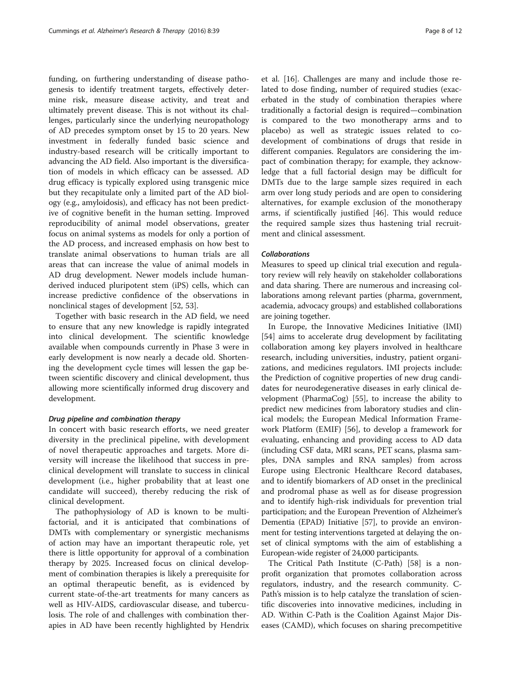funding, on furthering understanding of disease pathogenesis to identify treatment targets, effectively determine risk, measure disease activity, and treat and ultimately prevent disease. This is not without its challenges, particularly since the underlying neuropathology of AD precedes symptom onset by 15 to 20 years. New investment in federally funded basic science and industry-based research will be critically important to advancing the AD field. Also important is the diversification of models in which efficacy can be assessed. AD drug efficacy is typically explored using transgenic mice but they recapitulate only a limited part of the AD biology (e.g., amyloidosis), and efficacy has not been predictive of cognitive benefit in the human setting. Improved reproducibility of animal model observations, greater focus on animal systems as models for only a portion of the AD process, and increased emphasis on how best to translate animal observations to human trials are all areas that can increase the value of animal models in AD drug development. Newer models include humanderived induced pluripotent stem (iPS) cells, which can increase predictive confidence of the observations in nonclinical stages of development [\[52](#page-11-0), [53](#page-11-0)].

Together with basic research in the AD field, we need to ensure that any new knowledge is rapidly integrated into clinical development. The scientific knowledge available when compounds currently in Phase 3 were in early development is now nearly a decade old. Shortening the development cycle times will lessen the gap between scientific discovery and clinical development, thus allowing more scientifically informed drug discovery and development.

## Drug pipeline and combination therapy

In concert with basic research efforts, we need greater diversity in the preclinical pipeline, with development of novel therapeutic approaches and targets. More diversity will increase the likelihood that success in preclinical development will translate to success in clinical development (i.e., higher probability that at least one candidate will succeed), thereby reducing the risk of clinical development.

The pathophysiology of AD is known to be multifactorial, and it is anticipated that combinations of DMTs with complementary or synergistic mechanisms of action may have an important therapeutic role, yet there is little opportunity for approval of a combination therapy by 2025. Increased focus on clinical development of combination therapies is likely a prerequisite for an optimal therapeutic benefit, as is evidenced by current state-of-the-art treatments for many cancers as well as HIV-AIDS, cardiovascular disease, and tuberculosis. The role of and challenges with combination therapies in AD have been recently highlighted by Hendrix

et al. [[16\]](#page-10-0). Challenges are many and include those related to dose finding, number of required studies (exacerbated in the study of combination therapies where traditionally a factorial design is required—combination is compared to the two monotherapy arms and to placebo) as well as strategic issues related to codevelopment of combinations of drugs that reside in different companies. Regulators are considering the impact of combination therapy; for example, they acknowledge that a full factorial design may be difficult for DMTs due to the large sample sizes required in each arm over long study periods and are open to considering alternatives, for example exclusion of the monotherapy arms, if scientifically justified [[46\]](#page-11-0). This would reduce the required sample sizes thus hastening trial recruitment and clinical assessment.

# Collaborations

Measures to speed up clinical trial execution and regulatory review will rely heavily on stakeholder collaborations and data sharing. There are numerous and increasing collaborations among relevant parties (pharma, government, academia, advocacy groups) and established collaborations are joining together.

In Europe, the Innovative Medicines Initiative (IMI) [[54\]](#page-11-0) aims to accelerate drug development by facilitating collaboration among key players involved in healthcare research, including universities, industry, patient organizations, and medicines regulators. IMI projects include: the Prediction of cognitive properties of new drug candidates for neurodegenerative diseases in early clinical development (PharmaCog) [[55\]](#page-11-0), to increase the ability to predict new medicines from laboratory studies and clinical models; the European Medical Information Framework Platform (EMIF) [[56\]](#page-11-0), to develop a framework for evaluating, enhancing and providing access to AD data (including CSF data, MRI scans, PET scans, plasma samples, DNA samples and RNA samples) from across Europe using Electronic Healthcare Record databases, and to identify biomarkers of AD onset in the preclinical and prodromal phase as well as for disease progression and to identify high-risk individuals for prevention trial participation; and the European Prevention of Alzheimer's Dementia (EPAD) Initiative [\[57\]](#page-11-0), to provide an environment for testing interventions targeted at delaying the onset of clinical symptoms with the aim of establishing a European-wide register of 24,000 participants.

The Critical Path Institute (C-Path) [\[58\]](#page-11-0) is a nonprofit organization that promotes collaboration across regulators, industry, and the research community. C-Path's mission is to help catalyze the translation of scientific discoveries into innovative medicines, including in AD. Within C-Path is the Coalition Against Major Diseases (CAMD), which focuses on sharing precompetitive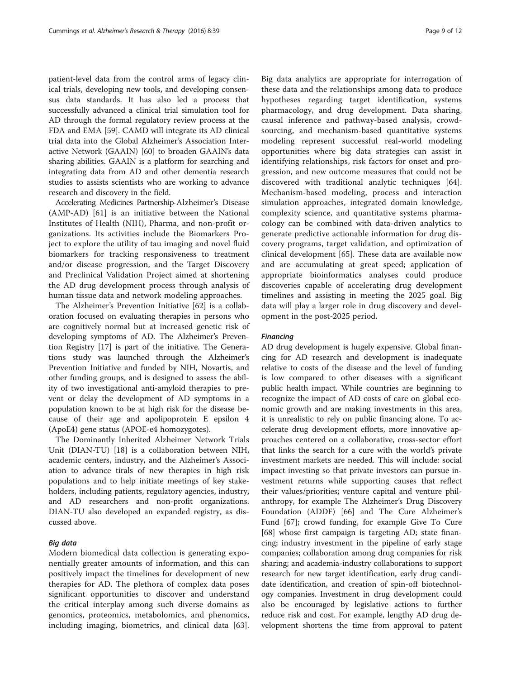patient-level data from the control arms of legacy clinical trials, developing new tools, and developing consensus data standards. It has also led a process that successfully advanced a clinical trial simulation tool for AD through the formal regulatory review process at the FDA and EMA [[59\]](#page-11-0). CAMD will integrate its AD clinical trial data into the Global Alzheimer's Association Interactive Network (GAAIN) [[60\]](#page-11-0) to broaden GAAIN's data sharing abilities. GAAIN is a platform for searching and integrating data from AD and other dementia research studies to assists scientists who are working to advance research and discovery in the field.

Accelerating Medicines Partnership-Alzheimer's Disease (AMP-AD) [\[61](#page-11-0)] is an initiative between the National Institutes of Health (NIH), Pharma, and non-profit organizations. Its activities include the Biomarkers Project to explore the utility of tau imaging and novel fluid biomarkers for tracking responsiveness to treatment and/or disease progression, and the Target Discovery and Preclinical Validation Project aimed at shortening the AD drug development process through analysis of human tissue data and network modeling approaches.

The Alzheimer's Prevention Initiative [\[62](#page-11-0)] is a collaboration focused on evaluating therapies in persons who are cognitively normal but at increased genetic risk of developing symptoms of AD. The Alzheimer's Prevention Registry [\[17](#page-10-0)] is part of the initiative. The Generations study was launched through the Alzheimer's Prevention Initiative and funded by NIH, Novartis, and other funding groups, and is designed to assess the ability of two investigational anti-amyloid therapies to prevent or delay the development of AD symptoms in a population known to be at high risk for the disease because of their age and apolipoprotein E epsilon 4 (ApoE4) gene status (APOE-e4 homozygotes).

The Dominantly Inherited Alzheimer Network Trials Unit (DIAN-TU) [[18\]](#page-10-0) is a collaboration between NIH, academic centers, industry, and the Alzheimer's Association to advance tirals of new therapies in high risk populations and to help initiate meetings of key stakeholders, including patients, regulatory agencies, industry, and AD researchers and non-profit organizations. DIAN-TU also developed an expanded registry, as discussed above.

#### Big data

Modern biomedical data collection is generating exponentially greater amounts of information, and this can positively impact the timelines for development of new therapies for AD. The plethora of complex data poses significant opportunities to discover and understand the critical interplay among such diverse domains as genomics, proteomics, metabolomics, and phenomics, including imaging, biometrics, and clinical data [[63](#page-11-0)].

Big data analytics are appropriate for interrogation of these data and the relationships among data to produce hypotheses regarding target identification, systems pharmacology, and drug development. Data sharing, causal inference and pathway-based analysis, crowdsourcing, and mechanism-based quantitative systems modeling represent successful real-world modeling opportunities where big data strategies can assist in identifying relationships, risk factors for onset and progression, and new outcome measures that could not be discovered with traditional analytic techniques [\[64](#page-11-0)]. Mechanism-based modeling, process and interaction simulation approaches, integrated domain knowledge, complexity science, and quantitative systems pharmacology can be combined with data-driven analytics to generate predictive actionable information for drug discovery programs, target validation, and optimization of clinical development [[65](#page-11-0)]. These data are available now and are accumulating at great speed; application of appropriate bioinformatics analyses could produce discoveries capable of accelerating drug development timelines and assisting in meeting the 2025 goal. Big data will play a larger role in drug discovery and development in the post-2025 period.

#### Financing

AD drug development is hugely expensive. Global financing for AD research and development is inadequate relative to costs of the disease and the level of funding is low compared to other diseases with a significant public health impact. While countries are beginning to recognize the impact of AD costs of care on global economic growth and are making investments in this area, it is unrealistic to rely on public financing alone. To accelerate drug development efforts, more innovative approaches centered on a collaborative, cross-sector effort that links the search for a cure with the world's private investment markets are needed. This will include: social impact investing so that private investors can pursue investment returns while supporting causes that reflect their values/priorities; venture capital and venture philanthropy, for example The Alzheimer's Drug Discovery Foundation (ADDF) [[66](#page-11-0)] and The Cure Alzheimer's Fund [[67\]](#page-11-0); crowd funding, for example Give To Cure [[68\]](#page-11-0) whose first campaign is targeting AD; state financing; industry investment in the pipeline of early stage companies; collaboration among drug companies for risk sharing; and academia-industry collaborations to support research for new target identification, early drug candidate identification, and creation of spin-off biotechnology companies. Investment in drug development could also be encouraged by legislative actions to further reduce risk and cost. For example, lengthy AD drug development shortens the time from approval to patent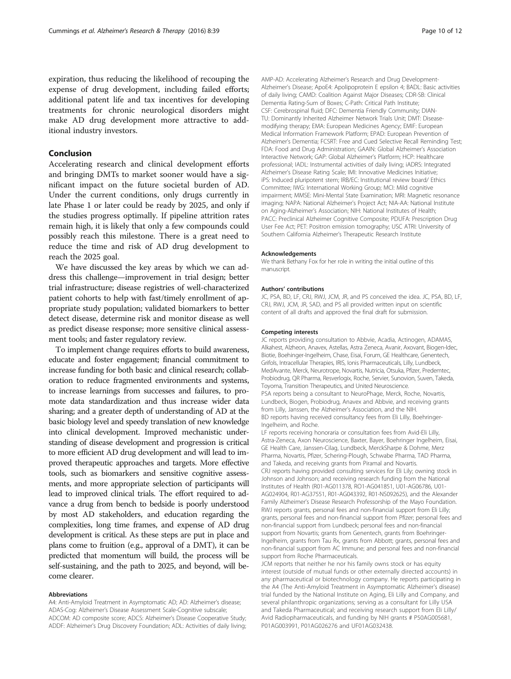expiration, thus reducing the likelihood of recouping the expense of drug development, including failed efforts; additional patent life and tax incentives for developing treatments for chronic neurological disorders might make AD drug development more attractive to additional industry investors.

# Conclusion

Accelerating research and clinical development efforts and bringing DMTs to market sooner would have a significant impact on the future societal burden of AD. Under the current conditions, only drugs currently in late Phase 1 or later could be ready by 2025, and only if the studies progress optimally. If pipeline attrition rates remain high, it is likely that only a few compounds could possibly reach this milestone. There is a great need to reduce the time and risk of AD drug development to reach the 2025 goal.

We have discussed the key areas by which we can address this challenge—improvement in trial design; better trial infrastructure; disease registries of well-characterized patient cohorts to help with fast/timely enrollment of appropriate study population; validated biomarkers to better detect disease, determine risk and monitor disease as well as predict disease response; more sensitive clinical assessment tools; and faster regulatory review.

To implement change requires efforts to build awareness, educate and foster engagement; financial commitment to increase funding for both basic and clinical research; collaboration to reduce fragmented environments and systems, to increase learnings from successes and failures, to promote data standardization and thus increase wider data sharing; and a greater depth of understanding of AD at the basic biology level and speedy translation of new knowledge into clinical development. Improved mechanistic understanding of disease development and progression is critical to more efficient AD drug development and will lead to improved therapeutic approaches and targets. More effective tools, such as biomarkers and sensitive cognitive assessments, and more appropriate selection of participants will lead to improved clinical trials. The effort required to advance a drug from bench to bedside is poorly understood by most AD stakeholders, and education regarding the complexities, long time frames, and expense of AD drug development is critical. As these steps are put in place and plans come to fruition (e.g., approval of a DMT), it can be predicted that momentum will build, the process will be self-sustaining, and the path to 2025, and beyond, will become clearer.

#### Abbreviations

A4: Anti-Amyloid Treatment in Asymptomatic AD; AD: Alzheimer's disease; ADAS-Cog: Alzheimer's Disease Assessment Scale-Cognitive subscale; ADCOM: AD composite score; ADCS: Alzheimer's Disease Cooperative Study; ADDF: Alzheimer's Drug Discovery Foundation; ADL: Activities of daily living; AMP-AD: Accelerating Alzheimer's Research and Drug Development-Alzheimer's Disease; ApoE4: Apolipoprotein E epsilon 4; BADL: Basic activities of daily living; CAMD: Coalition Against Major Diseases; CDR-SB: Clinical Dementia Rating-Sum of Boxes; C-Path: Critical Path Institute; CSF: Cerebrospinal fluid; DFC: Dementia Friendly Community; DIAN-TU: Dominantly Inherited Alzheimer Network Trials Unit; DMT: Diseasemodifying therapy; EMA: European Medicines Agency; EMIF: European Medical Information Framework Platform; EPAD: European Prevention of Alzheimer's Dementia; FCSRT: Free and Cued Selective Recall Reminding Test; FDA: Food and Drug Administration; GAAIN: Global Alzheimer's Association Interactive Network; GAP: Global Alzheimer's Platform; HCP: Healthcare professional; IADL: Instrumental activities of daily living; iADRS: Integrated Alzheimer's Disease Rating Scale; IMI: Innovative Medicines Initiative; iPS: Induced pluripotent stem; IRB/EC: Institutional review board/ Ethics Committee; IWG: International Working Group; MCI: Mild cognitive impairment; MMSE: Mini-Mental State Examination; MRI: Magnetic resonance imaging; NAPA: National Alzheimer's Project Act; NIA-AA: National Institute on Aging-Alzheimer's Association; NIH: National Institutes of Health; PACC: Preclinical Alzheimer Cognitive Composite; PDUFA: Prescription Drug User Fee Act; PET: Positron emission tomography; USC ATRI: University of Southern California Alzheimer's Therapeutic Research Institute

#### Acknowledgements

We thank Bethany Fox for her role in writing the initial outline of this manuscript.

#### Authors' contributions

JC, PSA, BD, LF, CRJ, RWJ, JCM, JR, and PS conceived the idea. JC, PSA, BD, LF, CRJ, RWJ, JCM, JR, SAD, and PS all provided written input on scientific content of all drafts and approved the final draft for submission.

#### Competing interests

JC reports providing consultation to Abbvie, Acadia, Actinogen, ADAMAS, Alkahest, Alzheon, Anavex, Astellas, Astra Zeneca, Avanir, Axovant, Biogen-Idec, Biotie, Boehinger-Ingelheim, Chase, Eisai, Forum, GE Healthcare, Genentech, Grifols, Intracellular Therapies, IRIS, Ionis Pharmaceuticals, Lilly, Lundbeck, MedAvante, Merck, Neurotrope, Novartis, Nutricia, Otsuka, Pfizer, Predemtec, Probiodrug, QR Pharma, Resverlogix, Roche, Servier, Sunovion, Suven, Takeda, Toyoma, Transition Therapeutics, and United Neuroscience. PSA reports being a consultant to NeuroPhage, Merck, Roche, Novartis, Lundbeck, Biogen, Probiodrug, Anavex and Abbvie, and receiving grants from Lilly, Janssen, the Alzheimer's Association, and the NIH. BD reports having received consultancy fees from Eli Lilly, Boehringer-Ingelheim, and Roche.

LF reports receiving honoraria or consultation fees from Avid-Eli Lilly, Astra-Zeneca, Axon Neuroscience, Baxter, Bayer, Boehringer Ingelheim, Eisai, GE Health Care, Janssen-Cilag, Lundbeck, MerckSharpe & Dohme, Merz Pharma, Novartis, Pfizer, Schering-Plough, Schwabe Pharma, TAD Pharma, and Takeda, and receiving grants from Piramal and Novartis. CRJ reports having provided consulting services for Eli Lily; owning stock in Johnson and Johnson; and receiving research funding from the National Institutes of Health (R01-AG011378, RO1-AG041851, U01-AG06786, U01- AG024904, R01-AG37551, R01-AG043392, R01-NS092625), and the Alexander Family Alzheimer's Disease Research Professorship of the Mayo Foundation. RWJ reports grants, personal fees and non-financial support from Eli Lilly; grants, personal fees and non-financial support from Pfizer; personal fees and non-financial support from Lundbeck; personal fees and non-financial support from Novartis; grants from Genentech, grants from Boehringer-Ingelheim, grants from Tau Rx, grants from Abbott; grants, personal fees and non-financial support from AC Immune; and personal fees and non-financial support from Roche Pharmaceuticals.

JCM reports that neither he nor his family owns stock or has equity interest (outside of mutual funds or other externally directed accounts) in any pharmaceutical or biotechnology company. He reports participating in the A4 (The Anti-Amyloid Treatment in Asymptomatic Alzheimer's disease) trial funded by the National Institute on Aging, Eli Lilly and Company, and several philanthropic organizations; serving as a consultant for Lilly USA and Takeda Pharmaceutical; and receiving research support from Eli Lilly/ Avid Radiopharmaceuticals, and funding by NIH grants # P50AG005681, P01AG003991, P01AG026276 and UF01AG032438.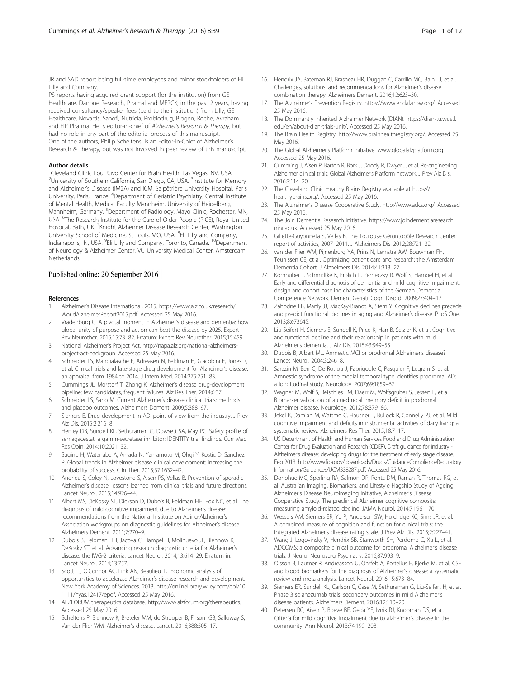<span id="page-10-0"></span>JR and SAD report being full-time employees and minor stockholders of Eli Lilly and Company.

PS reports having acquired grant support (for the institution) from GE Healthcare, Danone Research, Piramal and MERCK; in the past 2 years, having received consultancy/speaker fees (paid to the institution) from Lilly, GE Healthcare, Novartis, Sanofi, Nutricia, Probiodrug, Biogen, Roche, Avraham and EIP Pharma. He is editor-in-chief of Alzheimer's Research & Therapy, but had no role in any part of the editorial process of this manuscript. One of the authors, Philip Scheltens, is an Editor-in-Chief of Alzheimer's Research & Therapy, but was not involved in peer review of this manuscript.

#### Author details

<sup>1</sup>Cleveland Clinic Lou Ruvo Center for Brain Health, Las Vegas, NV, USA. <sup>2</sup>University of Southern California, San Diego, CA, USA. <sup>3</sup>Institute for Memory and Alzheimer's Disease (IM2A) and ICM, Salpêtrière University Hospital, Paris University, Paris, France. <sup>4</sup>Department of Geriatric Psychiatry, Central Institute of Mental Health, Medical Faculty Mannheim, University of Heidelberg, Mannheim, Germany. <sup>5</sup>Department of Radiology, Mayo Clinic, Rochester, MN, USA. <sup>6</sup> The Research Institute for the Care of Older People (RICE), Royal United Hospital, Bath, UK. <sup>7</sup>Knight Alzheimer Disease Research Center, Washington University School of Medicine, St Louis, MO, USA. <sup>8</sup>Eli Lilly and Company, Indianapolis, IN, USA. <sup>9</sup>Eli Lilly and Company, Toronto, Canada. <sup>10</sup>Department of Neurology & Alzheimer Center, VU University Medical Center, Amsterdam, Netherlands.

#### Published online: 20 September 2016

#### References

- 1. Alzheimer's Disease International, 2015. [https://www.alz.co.uk/research/](https://www.alz.co.uk/research/WorldAlzheimerReport2015.pdf) [WorldAlzheimerReport2015.pdf](https://www.alz.co.uk/research/WorldAlzheimerReport2015.pdf). Accessed 25 May 2016.
- 2. Vradenburg G. A pivotal moment in Alzheimer's disease and dementia: how global unity of purpose and action can beat the disease by 2025. Expert Rev Neurother. 2015;15:73–82. Erratum: Expert Rev Neurother. 2015;15:459.
- 3. National Alzheimer's Project Act. [http://napa.alz.org/national-alzheimers](http://napa.alz.org/national-alzheimers-project-act-backgroun)[project-act-backgroun.](http://napa.alz.org/national-alzheimers-project-act-backgroun) Accessed 25 May 2016.
- 4. Schneider LS, Mangialasche F, Adreasen N, Feldman H, Giacobini E, Jones R, et al. Clinical trials and late-stage drug development for Alzheimer's disease: an appraisal from 1984 to 2014. J Intern Med. 2014;275:251–83.
- 5. Cummings JL, Morstorf T, Zhong K. Alzheimer's disease drug-development pipeline: few candidates, frequent failures. Alz Res Ther. 2014;6:37.
- 6. Schneider LS, Sano M. Current Alzheimer's disease clinical trials: methods and placebo outcomes. Alzheimers Dement. 2009;5:388–97.
- 7. Siemers E. Drug development in AD: point of view from the industry. J Prev Alz Dis. 2015;2:216–8.
- 8. Henley DB, Sundell KL, Sethuraman G, Dowsett SA, May PC. Safety profile of semagacestat, a gamm-secretase inhibitor: IDENTITY trial findings. Curr Med Res Opin. 2014;10:2021–32.
- Sugino H, Watanabe A, Amada N, Yamamoto M, Ohgi Y, Kostic D, Sanchez R. Global trends in Alzheimer disease clinical development: increasing the probability of success. Clin Ther. 2015;37:1632–42.
- 10. Andrieu S, Coley N, Lovestone S, Aisen PS, Vellas B. Prevention of sporadic Alzheimer's disease: lessons learned from clinical trials and future directions. Lancet Neurol. 2015;14:926–44.
- 11. Albert MS, DeKosky ST, Dickson D, Dubois B, Feldman HH, Fox NC, et al. The diagnosis of mild cognitive impairment due to Alzheimer's disease: recommendations from the National Institute on Aging-Alzheimer's Association workgroups on diagnostic guidelines for Alzheimer's disease. Alzheimers Dement. 2011;7:270–9.
- 12. Dubois B, Feldman HH, Jacova C, Hampel H, Molinuevo JL, Blennow K, DeKosky ST, et al. Advancing research diagnostic criteria for Alzheimer's disease: the IWG-2 criteria. Lancet Neurol. 2014;13:614–29. Erratum in: Lancet Neurol. 2014;13:757.
- 13. Scott TJ, O'Connor AC, Link AN, Beaulieu TJ. Economic analysis of opportunities to accelerate Alzheimer's disease research and development. New York Academy of Sciences. 2013. [http://onlinelibrary.wiley.com/doi/10.](http://onlinelibrary.wiley.com/doi/10.1111/nyas.12417/epdf) [1111/nyas.12417/epdf](http://onlinelibrary.wiley.com/doi/10.1111/nyas.12417/epdf). Accessed 25 May 2016.
- 14. ALZFORUM therapeutics database. [http://www.alzforum.org/therapeutics.](http://www.alzforum.org/therapeutics) Accessed 25 May 2016.
- 15. Scheltens P, Blennow K, Breteler MM, de Strooper B, Frisoni GB, Salloway S, Van der Flier WM. Alzheimer's disease. Lancet. 2016;388:505–17.
- 16. Hendrix JA, Bateman RJ, Brashear HR, Duggan C, Carrillo MC, Bain LJ, et al. Challenges, solutions, and recommendations for Alzheimer's disease combination therapy. Alzheimers Dement. 2016;12:623–30.
- 17. The Alzheimer's Prevention Registry. [https://www.endalznow.org/.](https://www.endalznow.org/) Accessed 25 May 2016.
- 18. The Dominantly Inherited Alzheimer Network (DIAN). [https://dian-tu.wustl.](https://dian-tu.wustl.edu/en/about-dian-trials-unit/) [edu/en/about-dian-trials-unit/.](https://dian-tu.wustl.edu/en/about-dian-trials-unit/) Accessed 25 May 2016.
- 19. The Brain Health Registry. [http://www.brainhealthregistry.org/.](http://www.brainhealthregistry.org/) Accessed 25 May 2016.
- 20. The Global Alzheimer's Platform Initiative. [www.globalalzplatform.org.](http://www.globalalzplatform.org) Accessed 25 May 2016.
- 21. Cumming J, Aisen P, Barton R, Bork J, Doody R, Dwyer J, et al. Re-engineering Alzheimer clinical trials: Global Alzheimer's Platform network. J Prev Alz Dis. 2016;3:114–20.
- 22. The Cleveland Clinic Healthy Brains Registry available at [https://](https://healthybrains.org/) [healthybrains.org/.](https://healthybrains.org/) Accessed 25 May 2016.
- 23. The Alzheimer's Disease Cooperative Study. [http://www.adcs.org/.](http://www.adcs.org/) Accessed 25 May 2016.
- 24. The Join Dementia Research Initiative. [https://www.joindementiaresearch.](https://www.joindementiaresearch.nihr.ac.uk) [nihr.ac.uk](https://www.joindementiaresearch.nihr.ac.uk). Accessed 25 May 2016.
- 25. Gillette-Guyonneta S, Vellas B. The Toulouse Gérontopôle Research Center: report of activities, 2007–2011. J Alzheimers Dis. 2012;28:721–32.
- 26. van der Flier WM, Pijnenburg YA, Prins N, Lemstra AW, Bouwman FH, Teunissen CE, et al. Optimizing patient care and research: the Amsterdam Dementia Cohort. J Alzheimers Dis. 2014;41:313–27.
- 27. Kornhuber J, Schmidtke K, Frolich L, Perneczky R, Wolf S, Hampel H, et al. Early and differential diagnosis of dementia and mild cognitive impairment: design and cohort baseline characteristics of the German Dementia Competence Network. Dement Geriatr Cogn Disord. 2009;27:404–17.
- 28. Zahodne LB, Manly JJ, MacKay-Brandt A, Stern Y. Cognitive declines precede and predict functional declines in aging and Alzheimer's disease. PLoS One. 2013;8:e73645.
- 29. Liu-Seifert H, Siemers E, Sundell K, Price K, Han B, Selzler K, et al. Cognitive and functional decline and their relationship in patients with mild Alzheimer's dementia. J Alz Dis. 2015;43:949–55.
- 30. Dubois B, Albert ML. Amnestic MCI or prodromal Alzheimer's disease? Lancet Neurol. 2004;3:246–8.
- 31. Sarazin M, Berr C, De Rotrou J, Fabrigoule C, Pasquier F, Legrain S, et al. Amnestic syndrome of the medial temporal type identifies prodromal AD: a longitudinal study. Neurology. 2007;69:1859–67.
- 32. Wagner M, Wolf S, Reischies FM, Daerr M, Wolfsgruber S, Jessen F, et al. Biomarker validation of a cued recall memory deficit in prodromal Alzheimer disease. Neurology. 2012;78:379–86.
- 33. Jekel K, Damian M, Wattmo C, Hausner L, Bullock R, Connelly PJ, et al. Mild cognitive impairment and deficits in instrumental activities of daily living: a systematic review. Alzheimers Res Ther. 2015;18:7–17.
- 34. US Department of Health and Human Services Food and Drug Administration Center for Drug Evaluation and Research (CDER). Draft guidance for industry - Alzheimer's disease: developing drugs for the treatment of early stage disease. Feb 2013. [http://www.fda.gov/downloads/Drugs/GuidanceComplianceRegulatory](http://www.fda.gov/downloads/Drugs/GuidanceComplianceRegulatoryInformation/Guidances/UCM338287.pdf) [Information/Guidances/UCM338287.pdf.](http://www.fda.gov/downloads/Drugs/GuidanceComplianceRegulatoryInformation/Guidances/UCM338287.pdf) Accessed 25 May 2016.
- 35. Donohue MC, Sperling RA, Salmon DP, Rentz DM, Raman R, Thomas RG, et al. Australian Imaging, Biomarkers, and Lifestyle Flagship Study of Ageing, Alzheimer's Disease Neuroimaging Initiative, Alzheimer's Disease Cooperative Study. The preclinical Alzheimer cognitive composite: measuring amyloid-related decline. JAMA Neurol. 2014;71:961–70.
- 36. Wessels AM, Siemers ER, Yu P, Andersen SW, Holdridge KC, Sims JR, et al. A combined measure of cognition and function for clinical trials: the integrated Alzheimer's disease rating scale. J Prev Alz Dis. 2015;2:227–41.
- 37. Wang J, Logovinsky V, Hendrix SB, Stanworth SH, Perdomo C, Xu L, et al. ADCOMS: a composite clinical outcome for prodromal Alzheimer's disease trials. J Neurol Neurosurg Psychiatry. 2016;87:993–9.
- 38. Olsson B, Lautner R, Andreasson U, Öhrfelt A, Portelius E, Bjerke M, et al. CSF and blood biomarkers for the diagnosis of Alzheimer's disease: a systematic review and meta-analysis. Lancet Neurol. 2016;15:673–84.
- 39. Siemers ER, Sundell KL, Carlson C, Case M, Sethuraman G, Liu-Seifert H, et al. Phase 3 solanezumab trials: secondary outcomes in mild Alzheimer's disease patients. Alzheimers Dement. 2016;12:110–20.
- 40. Petersen RC, Aisen P, Boeve BF, Geda YE, Ivnik RJ, Knopman DS, et al. Criteria for mild cognitive impairment due to alzheimer's disease in the community. Ann Neurol. 2013;74:199–208.